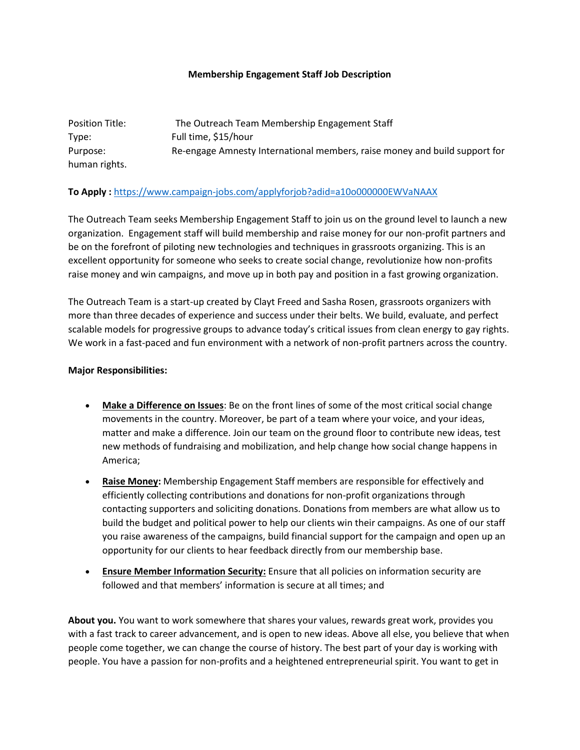## **Membership Engagement Staff Job Description**

| Position Title: | The Outreach Team Membership Engagement Staff                              |
|-----------------|----------------------------------------------------------------------------|
| Type:           | Full time, \$15/hour                                                       |
| Purpose:        | Re-engage Amnesty International members, raise money and build support for |
| human rights.   |                                                                            |

## **To Apply :** [https://www.campaign-jobs.com/applyforjob?adid=a10o000000EWVaNAAX](https://mail.brooklyn.cuny.edu/owa/redir.aspx?SURL=MPb9Y6zaw8Y0jOj4CAfBFDYe37o7IxPywL8NdTYJRTJPpP59Q5bUCGgAdAB0AHAAOgAvAC8AdABoAGUAbwB1AHQAcgBlAGEAYwBoAHQAZQBhAG0ALgB1AHMAMQA1AC4AbABpAHMAdAAtAG0AYQBuAGEAZwBlADEALgBjAG8AbQAvAHQAcgBhAGMAawAvAGMAbABpAGMAawA_AHUAPQBhADIAYgBiAGYAYgA1AGQAYgA5ADYAZgBmADEANgAxADUANABlAGMAYwA0ADkAOQA0ACYAaQBkAD0AYgBlADEANwA0ADkAMQAzADIAMAAmAGUAPQAwADMAOQAyAGQAMgAyADkAOQAyAA..&URL=http%3a%2f%2ftheoutreachteam.us15.list-manage1.com%2ftrack%2fclick%3fu%3da2bbfb5db96ff16154ecc4994%26id%3dbe17491320%26e%3d0392d22992)

The Outreach Team seeks Membership Engagement Staff to join us on the ground level to launch a new organization. Engagement staff will build membership and raise money for our non-profit partners and be on the forefront of piloting new technologies and techniques in grassroots organizing. This is an excellent opportunity for someone who seeks to create social change, revolutionize how non-profits raise money and win campaigns, and move up in both pay and position in a fast growing organization.

The Outreach Team is a start-up created by Clayt Freed and Sasha Rosen, grassroots organizers with more than three decades of experience and success under their belts. We build, evaluate, and perfect scalable models for progressive groups to advance today's critical issues from clean energy to gay rights. We work in a fast-paced and fun environment with a network of non-profit partners across the country.

## **Major Responsibilities:**

- **Make a Difference on Issues**: Be on the front lines of some of the most critical social change movements in the country. Moreover, be part of a team where your voice, and your ideas, matter and make a difference. Join our team on the ground floor to contribute new ideas, test new methods of fundraising and mobilization, and help change how social change happens in America;
- **Raise Money:** Membership Engagement Staff members are responsible for effectively and efficiently collecting contributions and donations for non-profit organizations through contacting supporters and soliciting donations. Donations from members are what allow us to build the budget and political power to help our clients win their campaigns. As one of our staff you raise awareness of the campaigns, build financial support for the campaign and open up an opportunity for our clients to hear feedback directly from our membership base.
- **Ensure Member Information Security:** Ensure that all policies on information security are followed and that members' information is secure at all times; and

**About you.** You want to work somewhere that shares your values, rewards great work, provides you with a fast track to career advancement, and is open to new ideas. Above all else, you believe that when people come together, we can change the course of history. The best part of your day is working with people. You have a passion for non-profits and a heightened entrepreneurial spirit. You want to get in